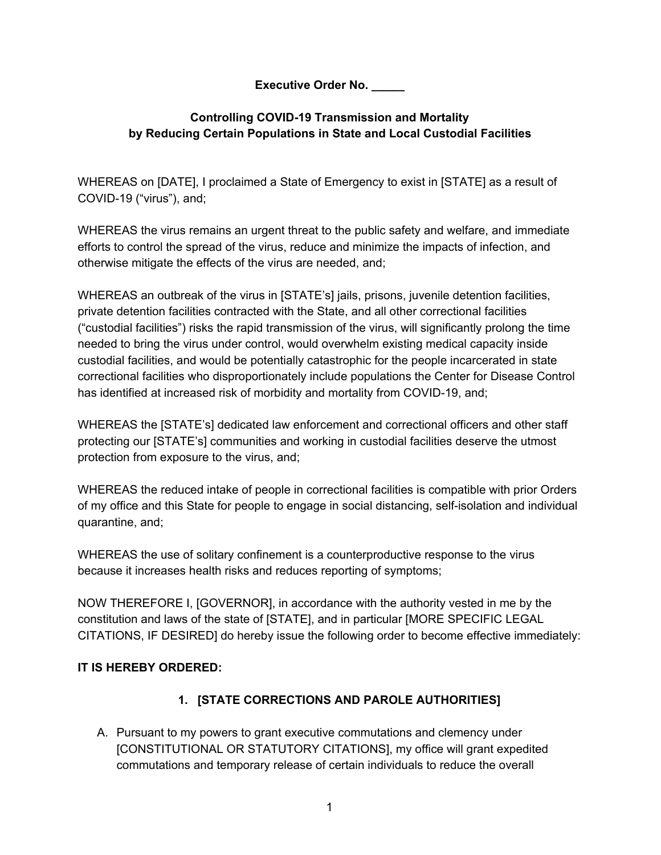**Executive Order No. \_\_\_\_\_**

### **Controlling COVID-19 Transmission and Mortality by Reducing Certain Populations in State and Local Custodial Facilities**

WHEREAS on [DATE], I proclaimed a State of Emergency to exist in [STATE] as a result of COVID-19 ("virus"), and;

WHEREAS the virus remains an urgent threat to the public safety and welfare, and immediate efforts to control the spread of the virus, reduce and minimize the impacts of infection, and otherwise mitigate the effects of the virus are needed, and;

WHEREAS an outbreak of the virus in [STATE's] jails, prisons, juvenile detention facilities, private detention facilities contracted with the State, and all other correctional facilities ("custodial facilities") risks the rapid transmission of the virus, will significantly prolong the time needed to bring the virus under control, would overwhelm existing medical capacity inside custodial facilities, and would be potentially catastrophic for the people incarcerated in state correctional facilities who disproportionately include populations the Center for Disease Control has identified at increased risk of morbidity and mortality from COVID-19, and;

WHEREAS the [STATE's] dedicated law enforcement and correctional officers and other staff protecting our [STATE's] communities and working in custodial facilities deserve the utmost protection from exposure to the virus, and;

WHEREAS the reduced intake of people in correctional facilities is compatible with prior Orders of my office and this State for people to engage in social distancing, self-isolation and individual quarantine, and;

WHEREAS the use of solitary confinement is a counterproductive response to the virus because it increases health risks and reduces reporting of symptoms;

NOW THEREFORE I, [GOVERNOR], in accordance with the authority vested in me by the constitution and laws of the state of [STATE], and in particular [MORE SPECIFIC LEGAL CITATIONS, IF DESIRED] do hereby issue the following order to become effective immediately:

### **IT IS HEREBY ORDERED:**

# **1. [STATE CORRECTIONS AND PAROLE AUTHORITIES]**

A. Pursuant to my powers to grant executive commutations and clemency under [CONSTITUTIONAL OR STATUTORY CITATIONS], my office will grant expedited commutations and temporary release of certain individuals to reduce the overall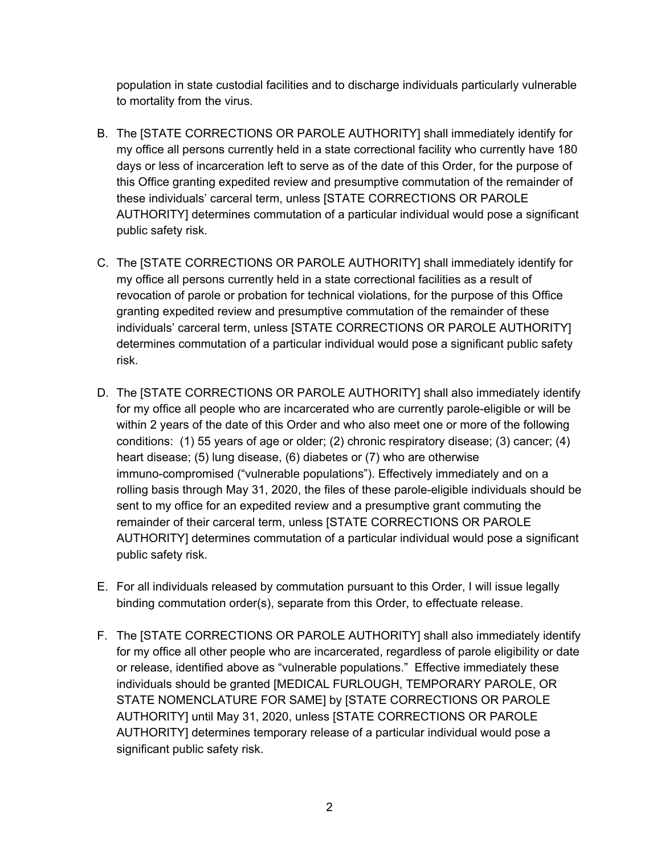population in state custodial facilities and to discharge individuals particularly vulnerable to mortality from the virus.

- B. The [STATE CORRECTIONS OR PAROLE AUTHORITY] shall immediately identify for my office all persons currently held in a state correctional facility who currently have 180 days or less of incarceration left to serve as of the date of this Order, for the purpose of this Office granting expedited review and presumptive commutation of the remainder of these individuals' carceral term, unless [STATE CORRECTIONS OR PAROLE AUTHORITY] determines commutation of a particular individual would pose a significant public safety risk.
- C. The [STATE CORRECTIONS OR PAROLE AUTHORITY] shall immediately identify for my office all persons currently held in a state correctional facilities as a result of revocation of parole or probation for technical violations, for the purpose of this Office granting expedited review and presumptive commutation of the remainder of these individuals' carceral term, unless [STATE CORRECTIONS OR PAROLE AUTHORITY] determines commutation of a particular individual would pose a significant public safety risk.
- D. The [STATE CORRECTIONS OR PAROLE AUTHORITY] shall also immediately identify for my office all people who are incarcerated who are currently parole-eligible or will be within 2 years of the date of this Order and who also meet one or more of the following conditions: (1) 55 years of age or older; (2) chronic respiratory disease; (3) cancer; (4) heart disease; (5) lung disease, (6) diabetes or (7) who are otherwise immuno-compromised ("vulnerable populations"). Effectively immediately and on a rolling basis through May 31, 2020, the files of these parole-eligible individuals should be sent to my office for an expedited review and a presumptive grant commuting the remainder of their carceral term, unless [STATE CORRECTIONS OR PAROLE AUTHORITY] determines commutation of a particular individual would pose a significant public safety risk.
- E. For all individuals released by commutation pursuant to this Order, I will issue legally binding commutation order(s), separate from this Order, to effectuate release.
- F. The [STATE CORRECTIONS OR PAROLE AUTHORITY] shall also immediately identify for my office all other people who are incarcerated, regardless of parole eligibility or date or release, identified above as "vulnerable populations." Effective immediately these individuals should be granted [MEDICAL FURLOUGH, TEMPORARY PAROLE, OR STATE NOMENCLATURE FOR SAME] by [STATE CORRECTIONS OR PAROLE AUTHORITY] until May 31, 2020, unless [STATE CORRECTIONS OR PAROLE AUTHORITY] determines temporary release of a particular individual would pose a significant public safety risk.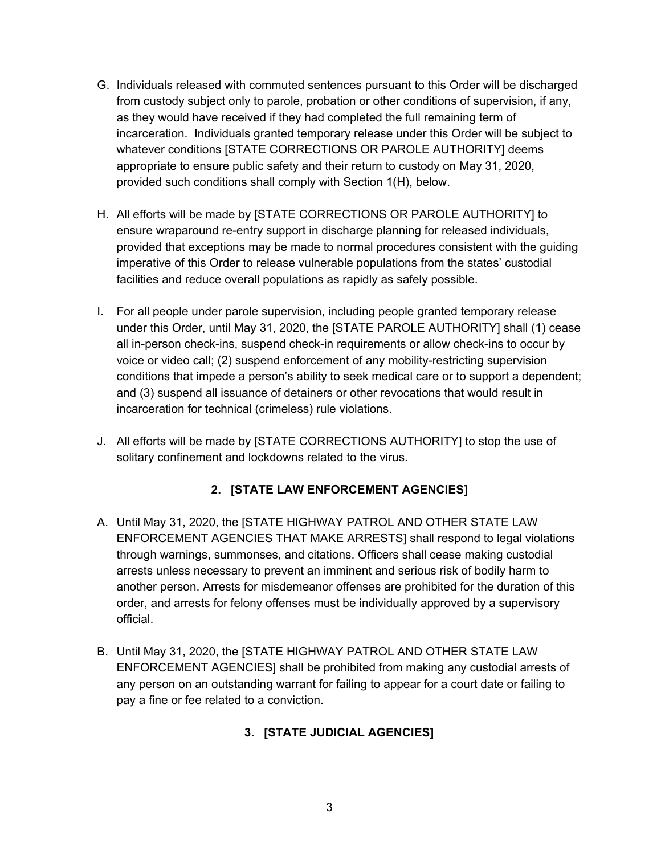- G. Individuals released with commuted sentences pursuant to this Order will be discharged from custody subject only to parole, probation or other conditions of supervision, if any, as they would have received if they had completed the full remaining term of incarceration. Individuals granted temporary release under this Order will be subject to whatever conditions [STATE CORRECTIONS OR PAROLE AUTHORITY] deems appropriate to ensure public safety and their return to custody on May 31, 2020, provided such conditions shall comply with Section 1(H), below.
- H. All efforts will be made by [STATE CORRECTIONS OR PAROLE AUTHORITY] to ensure wraparound re-entry support in discharge planning for released individuals, provided that exceptions may be made to normal procedures consistent with the guiding imperative of this Order to release vulnerable populations from the states' custodial facilities and reduce overall populations as rapidly as safely possible.
- I. For all people under parole supervision, including people granted temporary release under this Order, until May 31, 2020, the [STATE PAROLE AUTHORITY] shall (1) cease all in-person check-ins, suspend check-in requirements or allow check-ins to occur by voice or video call; (2) suspend enforcement of any mobility-restricting supervision conditions that impede a person's ability to seek medical care or to support a dependent; and (3) suspend all issuance of detainers or other revocations that would result in incarceration for technical (crimeless) rule violations.
- J. All efforts will be made by [STATE CORRECTIONS AUTHORITY] to stop the use of solitary confinement and lockdowns related to the virus.

# **2. [STATE LAW ENFORCEMENT AGENCIES]**

- A. Until May 31, 2020, the [STATE HIGHWAY PATROL AND OTHER STATE LAW ENFORCEMENT AGENCIES THAT MAKE ARRESTS] shall respond to legal violations through warnings, summonses, and citations. Officers shall cease making custodial arrests unless necessary to prevent an imminent and serious risk of bodily harm to another person. Arrests for misdemeanor offenses are prohibited for the duration of this order, and arrests for felony offenses must be individually approved by a supervisory official.
- B. Until May 31, 2020, the [STATE HIGHWAY PATROL AND OTHER STATE LAW ENFORCEMENT AGENCIES] shall be prohibited from making any custodial arrests of any person on an outstanding warrant for failing to appear for a court date or failing to pay a fine or fee related to a conviction.

# **3. [STATE JUDICIAL AGENCIES]**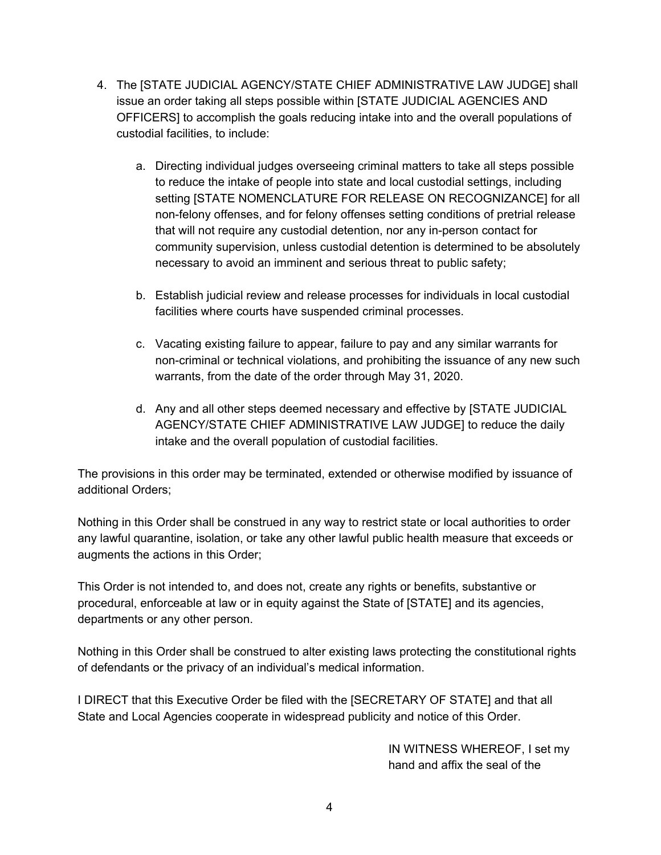- 4. The [STATE JUDICIAL AGENCY/STATE CHIEF ADMINISTRATIVE LAW JUDGE] shall issue an order taking all steps possible within [STATE JUDICIAL AGENCIES AND OFFICERS] to accomplish the goals reducing intake into and the overall populations of custodial facilities, to include:
	- a. Directing individual judges overseeing criminal matters to take all steps possible to reduce the intake of people into state and local custodial settings, including setting [STATE NOMENCLATURE FOR RELEASE ON RECOGNIZANCE] for all non-felony offenses, and for felony offenses setting conditions of pretrial release that will not require any custodial detention, nor any in-person contact for community supervision, unless custodial detention is determined to be absolutely necessary to avoid an imminent and serious threat to public safety;
	- b. Establish judicial review and release processes for individuals in local custodial facilities where courts have suspended criminal processes.
	- c. Vacating existing failure to appear, failure to pay and any similar warrants for non-criminal or technical violations, and prohibiting the issuance of any new such warrants, from the date of the order through May 31, 2020.
	- d. Any and all other steps deemed necessary and effective by [STATE JUDICIAL AGENCY/STATE CHIEF ADMINISTRATIVE LAW JUDGE] to reduce the daily intake and the overall population of custodial facilities.

The provisions in this order may be terminated, extended or otherwise modified by issuance of additional Orders;

Nothing in this Order shall be construed in any way to restrict state or local authorities to order any lawful quarantine, isolation, or take any other lawful public health measure that exceeds or augments the actions in this Order;

This Order is not intended to, and does not, create any rights or benefits, substantive or procedural, enforceable at law or in equity against the State of [STATE] and its agencies, departments or any other person.

Nothing in this Order shall be construed to alter existing laws protecting the constitutional rights of defendants or the privacy of an individual's medical information.

I DIRECT that this Executive Order be filed with the [SECRETARY OF STATE] and that all State and Local Agencies cooperate in widespread publicity and notice of this Order.

> IN WITNESS WHEREOF, I set my hand and affix the seal of the